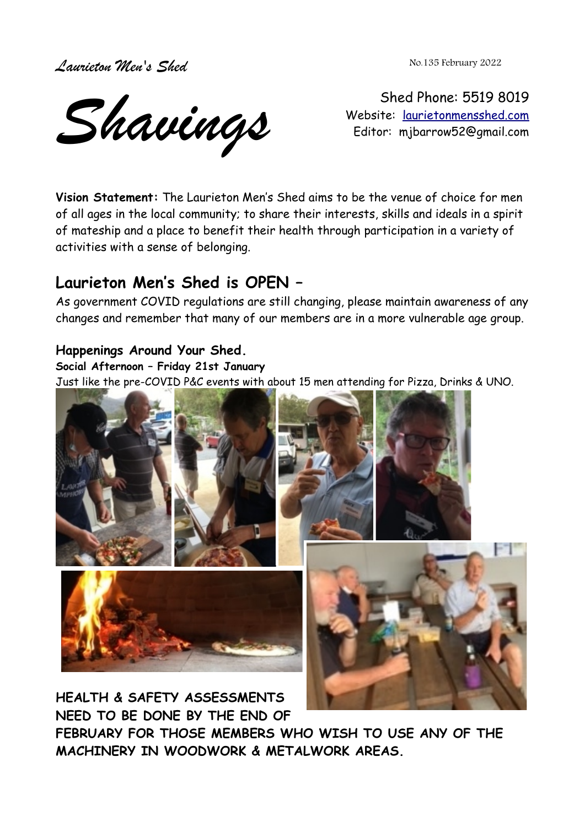*Laurieton Men's Shed* 

No.135 February 2022

*Shavings*

Shed Phone: 5519 8019 Website: [laurietonmensshed.com](http://laurietonmensshed.com.au/) Editor: mjbarrow52@gmail.com

**Vision Statement:** The Laurieton Men's Shed aims to be the venue of choice for men of all ages in the local community; to share their interests, skills and ideals in a spirit of mateship and a place to benefit their health through participation in a variety of activities with a sense of belonging.

# **Laurieton Men's Shed is OPEN –**

As government COVID regulations are still changing, please maintain awareness of any changes and remember that many of our members are in a more vulnerable age group.

## **Happenings Around Your Shed.**

#### **Social Afternoon – Friday 21st January**

Just like the pre-COVID P&C events with about 15 men attending for Pizza, Drinks & UNO.



**HEALTH & SAFETY ASSESSMENTS NEED TO BE DONE BY THE END OF**

**FEBRUARY FOR THOSE MEMBERS WHO WISH TO USE ANY OF THE MACHINERY IN WOODWORK & METALWORK AREAS.**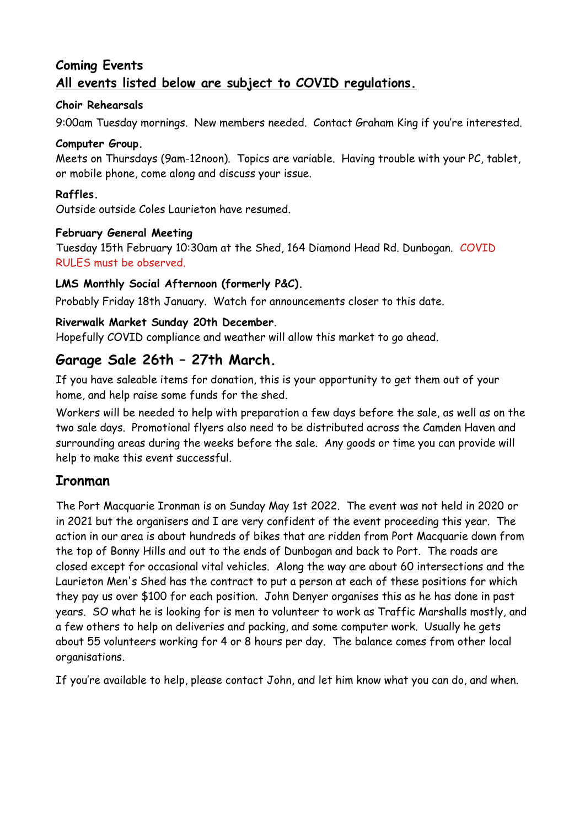# **Coming Events All events listed below are subject to COVID regulations.**

#### **Choir Rehearsals**

9:00am Tuesday mornings. New members needed. Contact Graham King if you're interested.

#### **Computer Group.**

Meets on Thursdays (9am-12noon). Topics are variable. Having trouble with your PC, tablet, or mobile phone, come along and discuss your issue.

#### **Raffles.**

Outside outside Coles Laurieton have resumed.

#### **February General Meeting**

Tuesday 15th February 10:30am at the Shed, 164 Diamond Head Rd. Dunbogan. COVID RULES must be observed.

#### **LMS Monthly Social Afternoon (formerly P&C).**

Probably Friday 18th January. Watch for announcements closer to this date.

#### **Riverwalk Market Sunday 20th December**.

Hopefully COVID compliance and weather will allow this market to go ahead.

# **Garage Sale 26th – 27th March.**

If you have saleable items for donation, this is your opportunity to get them out of your home, and help raise some funds for the shed.

Workers will be needed to help with preparation a few days before the sale, as well as on the two sale days. Promotional flyers also need to be distributed across the Camden Haven and surrounding areas during the weeks before the sale. Any goods or time you can provide will help to make this event successful.

### **Ironman**

The Port Macquarie Ironman is on Sunday May 1st 2022. The event was not held in 2020 or in 2021 but the organisers and I are very confident of the event proceeding this year. The action in our area is about hundreds of bikes that are ridden from Port Macquarie down from the top of Bonny Hills and out to the ends of Dunbogan and back to Port. The roads are closed except for occasional vital vehicles. Along the way are about 60 intersections and the Laurieton Men's Shed has the contract to put a person at each of these positions for which they pay us over \$100 for each position. John Denyer organises this as he has done in past years. SO what he is looking for is men to volunteer to work as Traffic Marshalls mostly, and a few others to help on deliveries and packing, and some computer work. Usually he gets about 55 volunteers working for 4 or 8 hours per day. The balance comes from other local organisations.

If you're available to help, please contact John, and let him know what you can do, and when.